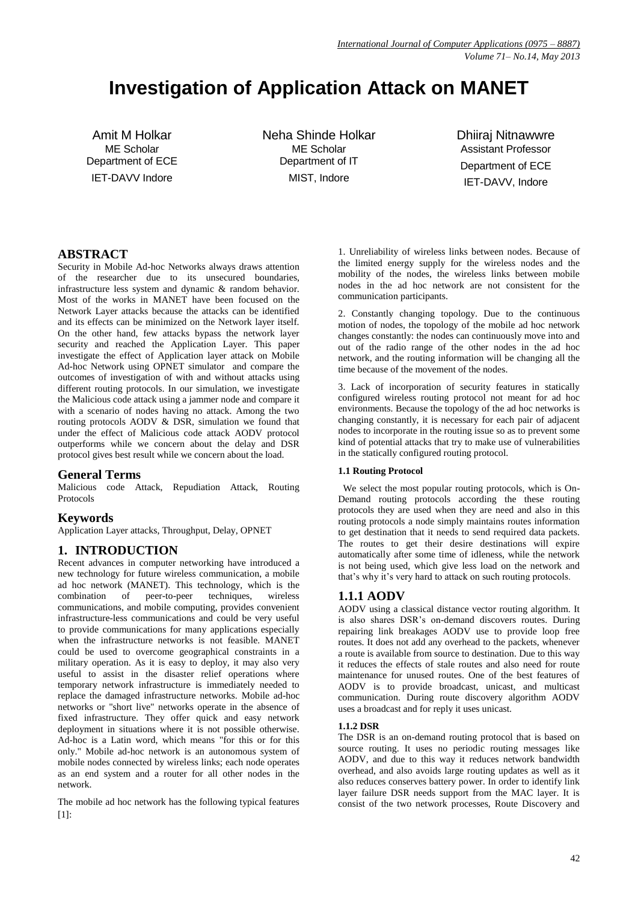# **Investigation of Application Attack on MANET**

Amit M Holkar ME Scholar Department of ECE IET-DAVV Indore

Neha Shinde Holkar ME Scholar Department of IT MIST, Indore

Dhiiraj Nitnawwre Assistant Professor Department of ECE IET-DAVV, Indore

# **ABSTRACT**

Security in Mobile Ad-hoc Networks always draws attention of the researcher due to its unsecured boundaries, infrastructure less system and dynamic & random behavior. Most of the works in MANET have been focused on the Network Layer attacks because the attacks can be identified and its effects can be minimized on the Network layer itself. On the other hand, few attacks bypass the network layer security and reached the Application Layer. This paper investigate the effect of Application layer attack on Mobile Ad-hoc Network using OPNET simulator and compare the outcomes of investigation of with and without attacks using different routing protocols. In our simulation, we investigate the Malicious code attack using a jammer node and compare it with a scenario of nodes having no attack. Among the two routing protocols AODV & DSR, simulation we found that under the effect of Malicious code attack AODV protocol outperforms while we concern about the delay and DSR protocol gives best result while we concern about the load.

### **General Terms**

Malicious code Attack, Repudiation Attack, Routing Protocols

### **Keywords**

Application Layer attacks, Throughput, Delay, OPNET

# **1. INTRODUCTION**

Recent advances in computer networking have introduced a new technology for future wireless communication, a mobile ad hoc network (MANET). This technology, which is the combination of peer-to-peer techniques. wireless  $combination$  of peer-to-peer techniques, communications, and mobile computing, provides convenient infrastructure-less communications and could be very useful to provide communications for many applications especially when the infrastructure networks is not feasible. MANET could be used to overcome geographical constraints in a military operation. As it is easy to deploy, it may also very useful to assist in the disaster relief operations where temporary network infrastructure is immediately needed to replace the damaged infrastructure networks. Mobile ad-hoc networks or "short live" networks operate in the absence of fixed infrastructure. They offer quick and easy network deployment in situations where it is not possible otherwise. Ad-hoc is a Latin word, which means "for this or for this only." Mobile ad-hoc network is an autonomous system of mobile nodes connected by wireless links; each node operates as an end system and a router for all other nodes in the network.

The mobile ad hoc network has the following typical features [1]:

1. Unreliability of wireless links between nodes. Because of the limited energy supply for the wireless nodes and the mobility of the nodes, the wireless links between mobile nodes in the ad hoc network are not consistent for the communication participants.

2. Constantly changing topology. Due to the continuous motion of nodes, the topology of the mobile ad hoc network changes constantly: the nodes can continuously move into and out of the radio range of the other nodes in the ad hoc network, and the routing information will be changing all the time because of the movement of the nodes.

3. Lack of incorporation of security features in statically configured wireless routing protocol not meant for ad hoc environments. Because the topology of the ad hoc networks is changing constantly, it is necessary for each pair of adjacent nodes to incorporate in the routing issue so as to prevent some kind of potential attacks that try to make use of vulnerabilities in the statically configured routing protocol.

#### **1.1 Routing Protocol**

We select the most popular routing protocols, which is On-Demand routing protocols according the these routing protocols they are used when they are need and also in this routing protocols a node simply maintains routes information to get destination that it needs to send required data packets. The routes to get their desire destinations will expire automatically after some time of idleness, while the network is not being used, which give less load on the network and that's why it's very hard to attack on such routing protocols.

### **1.1.1 AODV**

AODV using a classical distance vector routing algorithm. It is also shares DSR's on-demand discovers routes. During repairing link breakages AODV use to provide loop free routes. It does not add any overhead to the packets, whenever a route is available from source to destination. Due to this way it reduces the effects of stale routes and also need for route maintenance for unused routes. One of the best features of AODV is to provide broadcast, unicast, and multicast communication. During route discovery algorithm AODV uses a broadcast and for reply it uses unicast.

#### **1.1.2 DSR**

The DSR is an on-demand routing protocol that is based on source routing. It uses no periodic routing messages like AODV, and due to this way it reduces network bandwidth overhead, and also avoids large routing updates as well as it also reduces conserves battery power. In order to identify link layer failure DSR needs support from the MAC layer. It is consist of the two network processes, Route Discovery and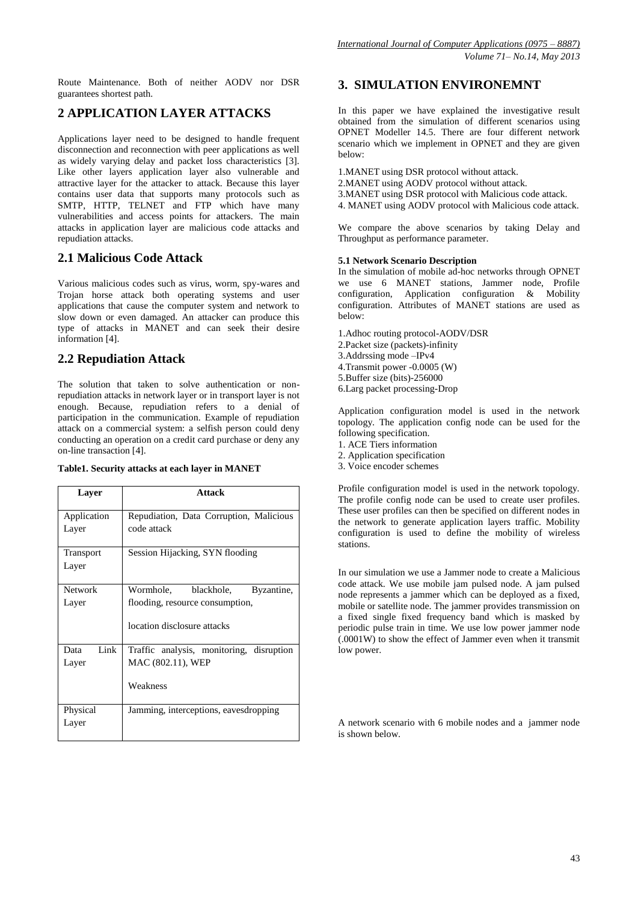Route Maintenance. Both of neither AODV nor DSR guarantees shortest path.

# **2 APPLICATION LAYER ATTACKS**

Applications layer need to be designed to handle frequent disconnection and reconnection with peer applications as well as widely varying delay and packet loss characteristics [3]. Like other layers application layer also vulnerable and attractive layer for the attacker to attack. Because this layer contains user data that supports many protocols such as SMTP, HTTP, TELNET and FTP which have many vulnerabilities and access points for attackers. The main attacks in application layer are malicious code attacks and repudiation attacks.

# **2.1 Malicious Code Attack**

Various malicious codes such as virus, worm, spy-wares and Trojan horse attack both operating systems and user applications that cause the computer system and network to slow down or even damaged. An attacker can produce this type of attacks in MANET and can seek their desire information [4].

# **2.2 Repudiation Attack**

The solution that taken to solve authentication or nonrepudiation attacks in network layer or in transport layer is not enough. Because, repudiation refers to a denial of participation in the communication. Example of repudiation attack on a commercial system: a selfish person could deny conducting an operation on a credit card purchase or deny any on-line transaction [4].

### **Table1. Security attacks at each layer in MANET**

| Layer                     | <b>Attack</b>                                          |
|---------------------------|--------------------------------------------------------|
| Application<br>Layer      | Repudiation, Data Corruption, Malicious<br>code attack |
| <b>Transport</b><br>Layer | Session Hijacking, SYN flooding                        |
| <b>Network</b>            | Wormhole, blackhole,<br>Byzantine,                     |
| Layer                     | flooding, resource consumption,                        |
|                           | location disclosure attacks                            |
| Link<br>Data              | Traffic analysis, monitoring, disruption               |
| Layer                     | MAC (802.11), WEP                                      |
|                           | Weakness                                               |
| Physical                  | Jamming, interceptions, eavesdropping                  |
| Layer                     |                                                        |

## **3. SIMULATION ENVIRONEMNT**

In this paper we have explained the investigative result obtained from the simulation of different scenarios using OPNET Modeller 14.5. There are four different network scenario which we implement in OPNET and they are given below:

- 1.MANET using DSR protocol without attack.
- 2.MANET using AODV protocol without attack.
- 3.MANET using DSR protocol with Malicious code attack.
- 4. MANET using AODV protocol with Malicious code attack.

We compare the above scenarios by taking Delay and Throughput as performance parameter.

#### **5.1 Network Scenario Description**

In the simulation of mobile ad-hoc networks through OPNET we use 6 MANET stations, Jammer node, Profile configuration, Application configuration & Mobility configuration. Attributes of MANET stations are used as below:

- 1.Adhoc routing protocol-AODV/DSR
- 2.Packet size (packets)-infinity
- 3.Addrssing mode –IPv4
- 4.Transmit power -0.0005 (W)
- 5.Buffer size (bits)-256000
- 6.Larg packet processing-Drop

Application configuration model is used in the network topology. The application config node can be used for the following specification.

- 1. ACE Tiers information
- 2. Application specification
- 3. Voice encoder schemes

Profile configuration model is used in the network topology. The profile config node can be used to create user profiles. These user profiles can then be specified on different nodes in the network to generate application layers traffic. Mobility configuration is used to define the mobility of wireless stations.

In our simulation we use a Jammer node to create a Malicious code attack. We use mobile jam pulsed node. A jam pulsed node represents a jammer which can be deployed as a fixed, mobile or satellite node. The jammer provides transmission on a fixed single fixed frequency band which is masked by periodic pulse train in time. We use low power jammer node (.0001W) to show the effect of Jammer even when it transmit low power.

A network scenario with 6 mobile nodes and a jammer node is shown below.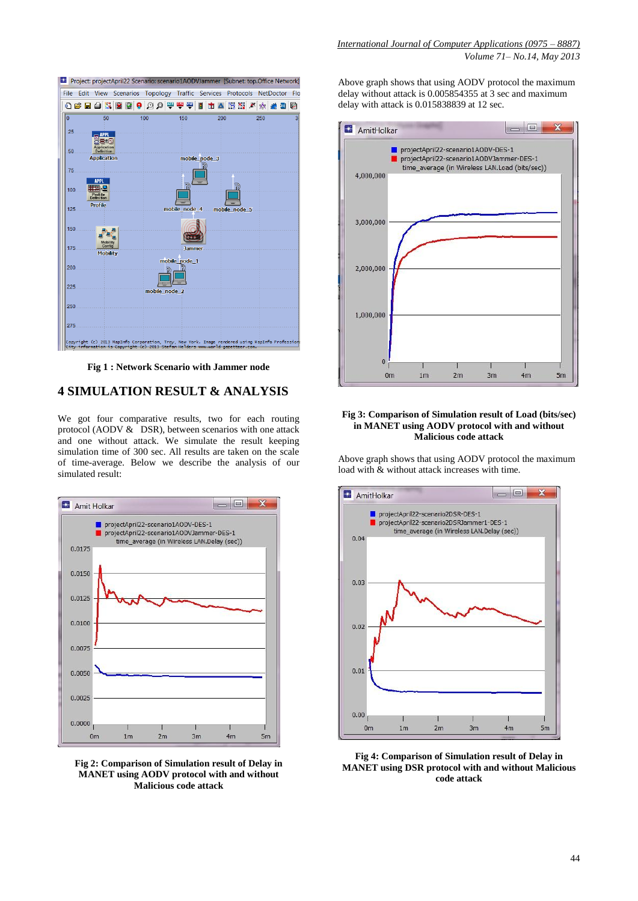

**Fig 1 : Network Scenario with Jammer node**

### **4 SIMULATION RESULT & ANALYSIS**

We got four comparative results, two for each routing protocol (AODV & DSR), between scenarios with one attack and one without attack. We simulate the result keeping simulation time of 300 sec. All results are taken on the scale of time-average. Below we describe the analysis of our simulated result:



**Fig 2: Comparison of Simulation result of Delay in MANET using AODV protocol with and without Malicious code attack**

Above graph shows that using AODV protocol the maximum delay without attack is 0.005854355 at 3 sec and maximum delay with attack is 0.015838839 at 12 sec.



#### **Fig 3: Comparison of Simulation result of Load (bits/sec) in MANET using AODV protocol with and without Malicious code attack**

Above graph shows that using AODV protocol the maximum load with & without attack increases with time.



**Fig 4: Comparison of Simulation result of Delay in MANET using DSR protocol with and without Malicious code attack**